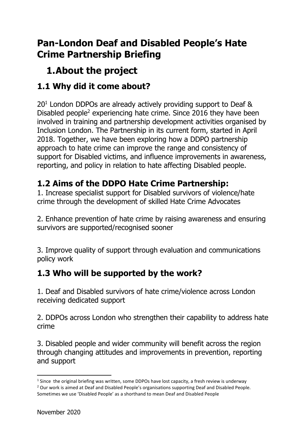## **Pan-London Deaf and Disabled People's Hate Crime Partnership Briefing**

# **1.About the project**

## **1.1 Why did it come about?**

20<sup>1</sup> London DDPOs are already actively providing support to Deaf & Disabled people<sup>2</sup> experiencing hate crime. Since 2016 they have been involved in training and partnership development activities organised by Inclusion London. The Partnership in its current form, started in April 2018. Together, we have been exploring how a DDPO partnership approach to hate crime can improve the range and consistency of support for Disabled victims, and influence improvements in awareness, reporting, and policy in relation to hate affecting Disabled people.

### **1.2 Aims of the DDPO Hate Crime Partnership:**

1. Increase specialist support for Disabled survivors of violence/hate crime through the development of skilled Hate Crime Advocates

2. Enhance prevention of hate crime by raising awareness and ensuring survivors are supported/recognised sooner

3. Improve quality of support through evaluation and communications policy work

### **1.3 Who will be supported by the work?**

1. Deaf and Disabled survivors of hate crime/violence across London receiving dedicated support

2. DDPOs across London who strengthen their capability to address hate crime

3. Disabled people and wider community will benefit across the region through changing attitudes and improvements in prevention, reporting and support

 $<sup>1</sup>$  Since the original briefing was written, some DDPOs have lost capacity, a fresh review is underway</sup>

<sup>2</sup> Our work is aimed at Deaf and Disabled People's organisations supporting Deaf and Disabled People. Sometimes we use 'Disabled People' as a shorthand to mean Deaf and Disabled People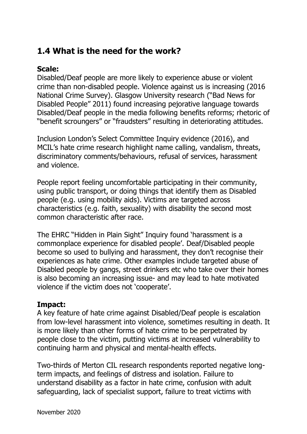### **1.4 What is the need for the work?**

#### **Scale:**

Disabled/Deaf people are more likely to experience abuse or violent crime than non-disabled people. Violence against us is increasing (2016 National Crime Survey). Glasgow University research ("Bad News for Disabled People" 2011) found increasing pejorative language towards Disabled/Deaf people in the media following benefits reforms; rhetoric of "benefit scroungers" or "fraudsters" resulting in deteriorating attitudes.

Inclusion London's Select Committee Inquiry evidence (2016), and MCIL's hate crime research highlight name calling, vandalism, threats, discriminatory comments/behaviours, refusal of services, harassment and violence.

People report feeling uncomfortable participating in their community, using public transport, or doing things that identify them as Disabled people (e.g. using mobility aids). Victims are targeted across characteristics (e.g. faith, sexuality) with disability the second most common characteristic after race.

The EHRC "Hidden in Plain Sight" Inquiry found 'harassment is a commonplace experience for disabled people'. Deaf/Disabled people become so used to bullying and harassment, they don't recognise their experiences as hate crime. Other examples include targeted abuse of Disabled people by gangs, street drinkers etc who take over their homes is also becoming an increasing issue- and may lead to hate motivated violence if the victim does not 'cooperate'.

#### **Impact:**

A key feature of hate crime against Disabled/Deaf people is escalation from low-level harassment into violence, sometimes resulting in death. It is more likely than other forms of hate crime to be perpetrated by people close to the victim, putting victims at increased vulnerability to continuing harm and physical and mental-health effects.

Two-thirds of Merton CIL research respondents reported negative longterm impacts, and feelings of distress and isolation. Failure to understand disability as a factor in hate crime, confusion with adult safeguarding, lack of specialist support, failure to treat victims with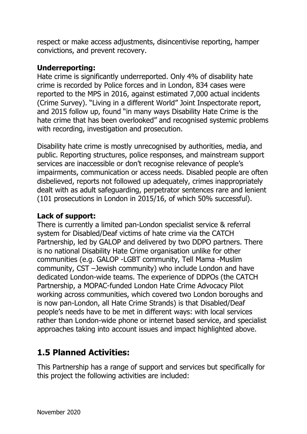respect or make access adjustments, disincentivise reporting, hamper convictions, and prevent recovery.

#### **Underreporting:**

Hate crime is significantly underreported. Only 4% of disability hate crime is recorded by Police forces and in London, 834 cases were reported to the MPS in 2016, against estimated 7,000 actual incidents (Crime Survey). "Living in a different World" Joint Inspectorate report, and 2015 follow up, found "in many ways Disability Hate Crime is the hate crime that has been overlooked" and recognised systemic problems with recording, investigation and prosecution.

Disability hate crime is mostly unrecognised by authorities, media, and public. Reporting structures, police responses, and mainstream support services are inaccessible or don't recognise relevance of people's impairments, communication or access needs. Disabled people are often disbelieved, reports not followed up adequately, crimes inappropriately dealt with as adult safeguarding, perpetrator sentences rare and lenient (101 prosecutions in London in 2015/16, of which 50% successful).

#### **Lack of support:**

There is currently a limited pan-London specialist service & referral system for Disabled/Deaf victims of hate crime via the CATCH Partnership, led by GALOP and delivered by two DDPO partners. There is no national Disability Hate Crime organisation unlike for other communities (e.g. GALOP -LGBT community, Tell Mama -Muslim community, CST –Jewish community) who include London and have dedicated London-wide teams. The experience of DDPOs (the CATCH Partnership, a MOPAC-funded London Hate Crime Advocacy Pilot working across communities, which covered two London boroughs and is now pan-London, all Hate Crime Strands) is that Disabled/Deaf people's needs have to be met in different ways: with local services rather than London-wide phone or internet based service, and specialist approaches taking into account issues and impact highlighted above.

### **1.5 Planned Activities:**

This Partnership has a range of support and services but specifically for this project the following activities are included: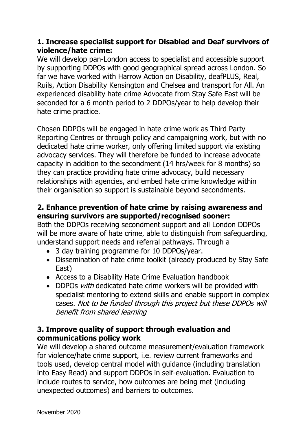#### **1. Increase specialist support for Disabled and Deaf survivors of violence/hate crime:**

We will develop pan-London access to specialist and accessible support by supporting DDPOs with good geographical spread across London. So far we have worked with Harrow Action on Disability, deafPLUS, Real, Ruils, Action Disability Kensington and Chelsea and transport for All. An experienced disability hate crime Advocate from Stay Safe East will be seconded for a 6 month period to 2 DDPOs/year to help develop their hate crime practice.

Chosen DDPOs will be engaged in hate crime work as Third Party Reporting Centres or through policy and campaigning work, but with no dedicated hate crime worker, only offering limited support via existing advocacy services. They will therefore be funded to increase advocate capacity in addition to the secondment (14 hrs/week for 8 months) so they can practice providing hate crime advocacy, build necessary relationships with agencies, and embed hate crime knowledge within their organisation so support is sustainable beyond secondments.

#### **2. Enhance prevention of hate crime by raising awareness and ensuring survivors are supported/recognised sooner:**

Both the DDPOs receiving secondment support and all London DDPOs will be more aware of hate crime, able to distinguish from safeguarding, understand support needs and referral pathways. Through a

- 3 day training programme for 10 DDPOs/year.
- Dissemination of hate crime toolkit (already produced by Stay Safe East)
- Access to a Disability Hate Crime Evaluation handbook
- DDPOs with dedicated hate crime workers will be provided with specialist mentoring to extend skills and enable support in complex cases. Not to be funded through this project but these DDPOs will benefit from shared learning

#### **3. Improve quality of support through evaluation and communications policy work**

We will develop a shared outcome measurement/evaluation framework for violence/hate crime support, i.e. review current frameworks and tools used, develop central model with guidance (including translation into Easy Read) and support DDPOs in self-evaluation. Evaluation to include routes to service, how outcomes are being met (including unexpected outcomes) and barriers to outcomes.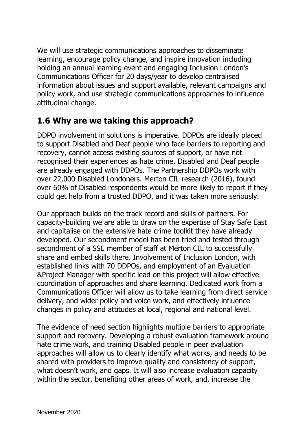We will use strategic communications approaches to disseminate learning, encourage policy change, and inspire innovation including holding an annual learning event and engaging Inclusion London's Communications Officer for 20 days/year to develop centralised information about issues and support available, relevant campaigns and policy work, and use strategic communications approaches to influence attitudinal change.

### **1.6 Why are we taking this approach?**

DDPO involvement in solutions is imperative. DDPOs are ideally placed to support Disabled and Deaf people who face barriers to reporting and recovery, cannot access existing sources of support, or have not recognised their experiences as hate crime. Disabled and Deaf people are already engaged with DDPOs. The Partnership DDPOs work with over 22,000 Disabled Londoners. Merton CIL research (2016), found over 60% of Disabled respondents would be more likely to report if they could get help from a trusted DDPO, and it was taken more seriously.

Our approach builds on the track record and skills of partners. For capacity-building we are able to draw on the expertise of Stay Safe East and capitalise on the extensive hate crime toolkit they have already developed. Our secondment model has been tried and tested through secondment of a SSE member of staff at Merton CIL to successfully share and embed skills there. Involvement of Inclusion London, with established links with 70 DDPOs, and employment of an Evaluation &Project Manager with specific lead on this project will allow effective coordination of approaches and share learning. Dedicated work from a Communications Officer will allow us to take learning from direct service delivery, and wider policy and voice work, and effectively influence changes in policy and attitudes at local, regional and national level.

The evidence of need section highlights multiple barriers to appropriate support and recovery. Developing a robust evaluation framework around hate crime work, and training Disabled people in peer evaluation approaches will allow us to clearly identify what works, and needs to be shared with providers to improve quality and consistency of support, what doesn't work, and gaps. It will also increase evaluation capacity within the sector, benefiting other areas of work, and, increase the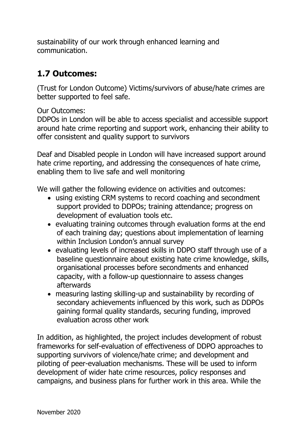sustainability of our work through enhanced learning and communication.

#### **1.7 Outcomes:**

(Trust for London Outcome) Victims/survivors of abuse/hate crimes are better supported to feel safe.

Our Outcomes:

DDPOs in London will be able to access specialist and accessible support around hate crime reporting and support work, enhancing their ability to offer consistent and quality support to survivors

Deaf and Disabled people in London will have increased support around hate crime reporting, and addressing the consequences of hate crime, enabling them to live safe and well monitoring

We will gather the following evidence on activities and outcomes:

- using existing CRM systems to record coaching and secondment support provided to DDPOs; training attendance; progress on development of evaluation tools etc.
- evaluating training outcomes through evaluation forms at the end of each training day; questions about implementation of learning within Inclusion London's annual survey
- evaluating levels of increased skills in DDPO staff through use of a baseline questionnaire about existing hate crime knowledge, skills, organisational processes before secondments and enhanced capacity, with a follow-up questionnaire to assess changes afterwards
- measuring lasting skilling-up and sustainability by recording of secondary achievements influenced by this work, such as DDPOs gaining formal quality standards, securing funding, improved evaluation across other work

In addition, as highlighted, the project includes development of robust frameworks for self-evaluation of effectiveness of DDPO approaches to supporting survivors of violence/hate crime; and development and piloting of peer-evaluation mechanisms. These will be used to inform development of wider hate crime resources, policy responses and campaigns, and business plans for further work in this area. While the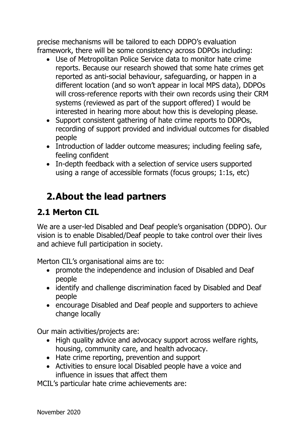precise mechanisms will be tailored to each DDPO's evaluation framework, there will be some consistency across DDPOs including:

- Use of Metropolitan Police Service data to monitor hate crime reports. Because our research showed that some hate crimes get reported as anti-social behaviour, safeguarding, or happen in a different location (and so won't appear in local MPS data), DDPOs will cross-reference reports with their own records using their CRM systems (reviewed as part of the support offered) I would be interested in hearing more about how this is developing please.
- Support consistent gathering of hate crime reports to DDPOs, recording of support provided and individual outcomes for disabled people
- Introduction of ladder outcome measures; including feeling safe, feeling confident
- In-depth feedback with a selection of service users supported using a range of accessible formats (focus groups; 1:1s, etc)

# **2.About the lead partners**

### **2.1 Merton CIL**

We are a user-led Disabled and Deaf people's organisation (DDPO). Our vision is to enable Disabled/Deaf people to take control over their lives and achieve full participation in society.

Merton CIL's organisational aims are to:

- promote the independence and inclusion of Disabled and Deaf people
- identify and challenge discrimination faced by Disabled and Deaf people
- encourage Disabled and Deaf people and supporters to achieve change locally

Our main activities/projects are:

- High quality advice and advocacy support across welfare rights, housing, community care, and health advocacy.
- Hate crime reporting, prevention and support
- Activities to ensure local Disabled people have a voice and influence in issues that affect them

MCIL's particular hate crime achievements are: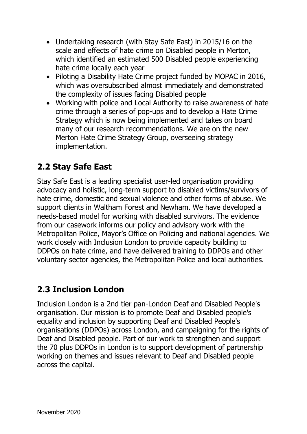- Undertaking research (with Stay Safe East) in 2015/16 on the scale and effects of hate crime on Disabled people in Merton, which identified an estimated 500 Disabled people experiencing hate crime locally each year
- Piloting a Disability Hate Crime project funded by MOPAC in 2016, which was oversubscribed almost immediately and demonstrated the complexity of issues facing Disabled people
- Working with police and Local Authority to raise awareness of hate crime through a series of pop-ups and to develop a Hate Crime Strategy which is now being implemented and takes on board many of our research recommendations. We are on the new Merton Hate Crime Strategy Group, overseeing strategy implementation.

### **2.2 Stay Safe East**

Stay Safe East is a leading specialist user-led organisation providing advocacy and holistic, long-term support to disabled victims/survivors of hate crime, domestic and sexual violence and other forms of abuse. We support clients in Waltham Forest and Newham. We have developed a needs-based model for working with disabled survivors. The evidence from our casework informs our policy and advisory work with the Metropolitan Police, Mayor's Office on Policing and national agencies. We work closely with Inclusion London to provide capacity building to DDPOs on hate crime, and have delivered training to DDPOs and other voluntary sector agencies, the Metropolitan Police and local authorities.

### **2.3 Inclusion London**

Inclusion London is a 2nd tier pan-London Deaf and Disabled People's organisation. Our mission is to promote Deaf and Disabled people's equality and inclusion by supporting Deaf and Disabled People's organisations (DDPOs) across London, and campaigning for the rights of Deaf and Disabled people. Part of our work to strengthen and support the 70 plus DDPOs in London is to support development of partnership working on themes and issues relevant to Deaf and Disabled people across the capital.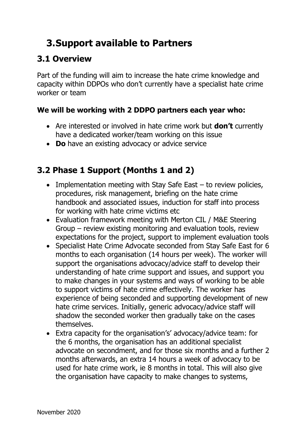# **3.Support available to Partners**

#### **3.1 Overview**

Part of the funding will aim to increase the hate crime knowledge and capacity within DDPOs who don't currently have a specialist hate crime worker or team

#### **We will be working with 2 DDPO partners each year who:**

- Are interested or involved in hate crime work but **don't** currently have a dedicated worker/team working on this issue
- **Do** have an existing advocacy or advice service

## **3.2 Phase 1 Support (Months 1 and 2)**

- Implementation meeting with Stay Safe East  $-$  to review policies, procedures, risk management, briefing on the hate crime handbook and associated issues, induction for staff into process for working with hate crime victims etc
- Evaluation framework meeting with Merton CIL / M&E Steering Group – review existing monitoring and evaluation tools, review expectations for the project, support to implement evaluation tools
- Specialist Hate Crime Advocate seconded from Stay Safe East for 6 months to each organisation (14 hours per week). The worker will support the organisations advocacy/advice staff to develop their understanding of hate crime support and issues, and support you to make changes in your systems and ways of working to be able to support victims of hate crime effectively. The worker has experience of being seconded and supporting development of new hate crime services. Initially, generic advocacy/advice staff will shadow the seconded worker then gradually take on the cases themselves.
- Extra capacity for the organisation's' advocacy/advice team: for the 6 months, the organisation has an additional specialist advocate on secondment, and for those six months and a further 2 months afterwards, an extra 14 hours a week of advocacy to be used for hate crime work, ie 8 months in total. This will also give the organisation have capacity to make changes to systems,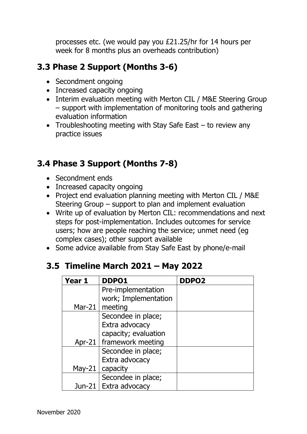processes etc. (we would pay you £21.25/hr for 14 hours per week for 8 months plus an overheads contribution)

#### **3.3 Phase 2 Support (Months 3-6)**

- Secondment ongoing
- Increased capacity ongoing
- Interim evaluation meeting with Merton CIL / M&E Steering Group – support with implementation of monitoring tools and gathering evaluation information
- Troubleshooting meeting with Stay Safe East to review any practice issues

#### **3.4 Phase 3 Support (Months 7-8)**

- Secondment ends
- Increased capacity ongoing
- Project end evaluation planning meeting with Merton CIL / M&E Steering Group – support to plan and implement evaluation
- Write up of evaluation by Merton CIL: recommendations and next steps for post-implementation. Includes outcomes for service users; how are people reaching the service; unmet need (eg complex cases); other support available
- Some advice available from Stay Safe East by phone/e-mail

### **3.5 Timeline March 2021 – May 2022**

| Year 1     | DDPO1                      | DDPO <sub>2</sub> |
|------------|----------------------------|-------------------|
|            | Pre-implementation         |                   |
|            | work; Implementation       |                   |
| Mar-21 $ $ | meeting                    |                   |
|            | Secondee in place;         |                   |
|            | Extra advocacy             |                   |
|            | capacity; evaluation       |                   |
|            | Apr-21   framework meeting |                   |
|            | Secondee in place;         |                   |
|            | Extra advocacy             |                   |
| May-21     | capacity                   |                   |
|            | Secondee in place;         |                   |
|            | Jun-21   Extra advocacy    |                   |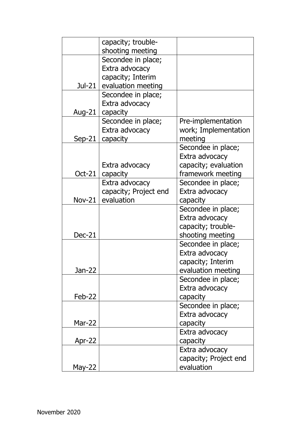|               | capacity; trouble-    |                       |  |
|---------------|-----------------------|-----------------------|--|
|               | shooting meeting      |                       |  |
|               | Secondee in place;    |                       |  |
|               | Extra advocacy        |                       |  |
|               | capacity; Interim     |                       |  |
| Jul-21 $ $    | evaluation meeting    |                       |  |
|               | Secondee in place;    |                       |  |
|               | Extra advocacy        |                       |  |
| Aug-21        | capacity              |                       |  |
|               | Secondee in place;    | Pre-implementation    |  |
|               | Extra advocacy        | work; Implementation  |  |
| $Sep-21$      | capacity              | meeting               |  |
|               |                       | Secondee in place;    |  |
|               |                       | Extra advocacy        |  |
|               | Extra advocacy        | capacity; evaluation  |  |
| Oct-21        | capacity              | framework meeting     |  |
|               | Extra advocacy        | Secondee in place;    |  |
|               | capacity; Project end | Extra advocacy        |  |
| <b>Nov-21</b> | evaluation            | capacity              |  |
|               |                       | Secondee in place;    |  |
|               |                       | Extra advocacy        |  |
|               |                       | capacity; trouble-    |  |
| <b>Dec-21</b> |                       | shooting meeting      |  |
|               |                       | Secondee in place;    |  |
|               |                       | Extra advocacy        |  |
|               |                       | capacity; Interim     |  |
| Jan-22        |                       | evaluation meeting    |  |
|               |                       | Secondee in place;    |  |
|               |                       | Extra advocacy        |  |
| $Feb-22$      |                       | capacity              |  |
|               |                       | Secondee in place;    |  |
|               |                       | Extra advocacy        |  |
| <b>Mar-22</b> |                       | capacity              |  |
|               |                       | Extra advocacy        |  |
| Apr-22        |                       | capacity              |  |
|               |                       | Extra advocacy        |  |
|               |                       | capacity; Project end |  |
| May-22        |                       | evaluation            |  |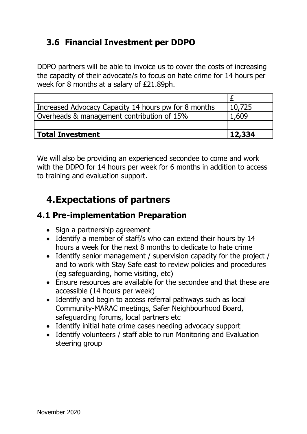### **3.6 Financial Investment per DDPO**

DDPO partners will be able to invoice us to cover the costs of increasing the capacity of their advocate/s to focus on hate crime for 14 hours per week for 8 months at a salary of £21.89ph.

| Increased Advocacy Capacity 14 hours pw for 8 months | 10,725 |
|------------------------------------------------------|--------|
| Overheads & management contribution of 15%           | 1,609  |
|                                                      |        |
| <b>Total Investment</b>                              | 12,334 |

We will also be providing an experienced secondee to come and work with the DDPO for 14 hours per week for 6 months in addition to access to training and evaluation support.

# **4.Expectations of partners**

### **4.1 Pre-implementation Preparation**

- Sign a partnership agreement
- Identify a member of staff/s who can extend their hours by 14 hours a week for the next 8 months to dedicate to hate crime
- Identify senior management / supervision capacity for the project / and to work with Stay Safe east to review policies and procedures (eg safeguarding, home visiting, etc)
- Ensure resources are available for the secondee and that these are accessible (14 hours per week)
- Identify and begin to access referral pathways such as local Community-MARAC meetings, Safer Neighbourhood Board, safeguarding forums, local partners etc
- Identify initial hate crime cases needing advocacy support
- Identify volunteers / staff able to run Monitoring and Evaluation steering group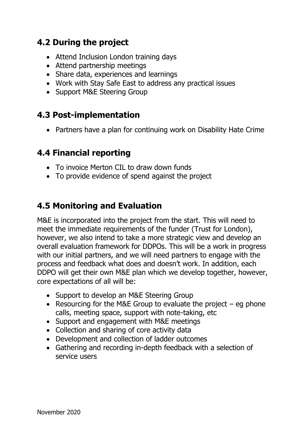#### **4.2 During the project**

- Attend Inclusion London training days
- Attend partnership meetings
- Share data, experiences and learnings
- Work with Stay Safe East to address any practical issues
- Support M&E Steering Group

#### **4.3 Post-implementation**

• Partners have a plan for continuing work on Disability Hate Crime

#### **4.4 Financial reporting**

- To invoice Merton CIL to draw down funds
- To provide evidence of spend against the project

### **4.5 Monitoring and Evaluation**

M&E is incorporated into the project from the start. This will need to meet the immediate requirements of the funder (Trust for London), however, we also intend to take a more strategic view and develop an overall evaluation framework for DDPOs. This will be a work in progress with our initial partners, and we will need partners to engage with the process and feedback what does and doesn't work. In addition, each DDPO will get their own M&E plan which we develop together, however, core expectations of all will be:

- Support to develop an M&E Steering Group
- Resourcing for the M&E Group to evaluate the project  $-$  eg phone calls, meeting space, support with note-taking, etc
- Support and engagement with M&E meetings
- Collection and sharing of core activity data
- Development and collection of ladder outcomes
- Gathering and recording in-depth feedback with a selection of service users